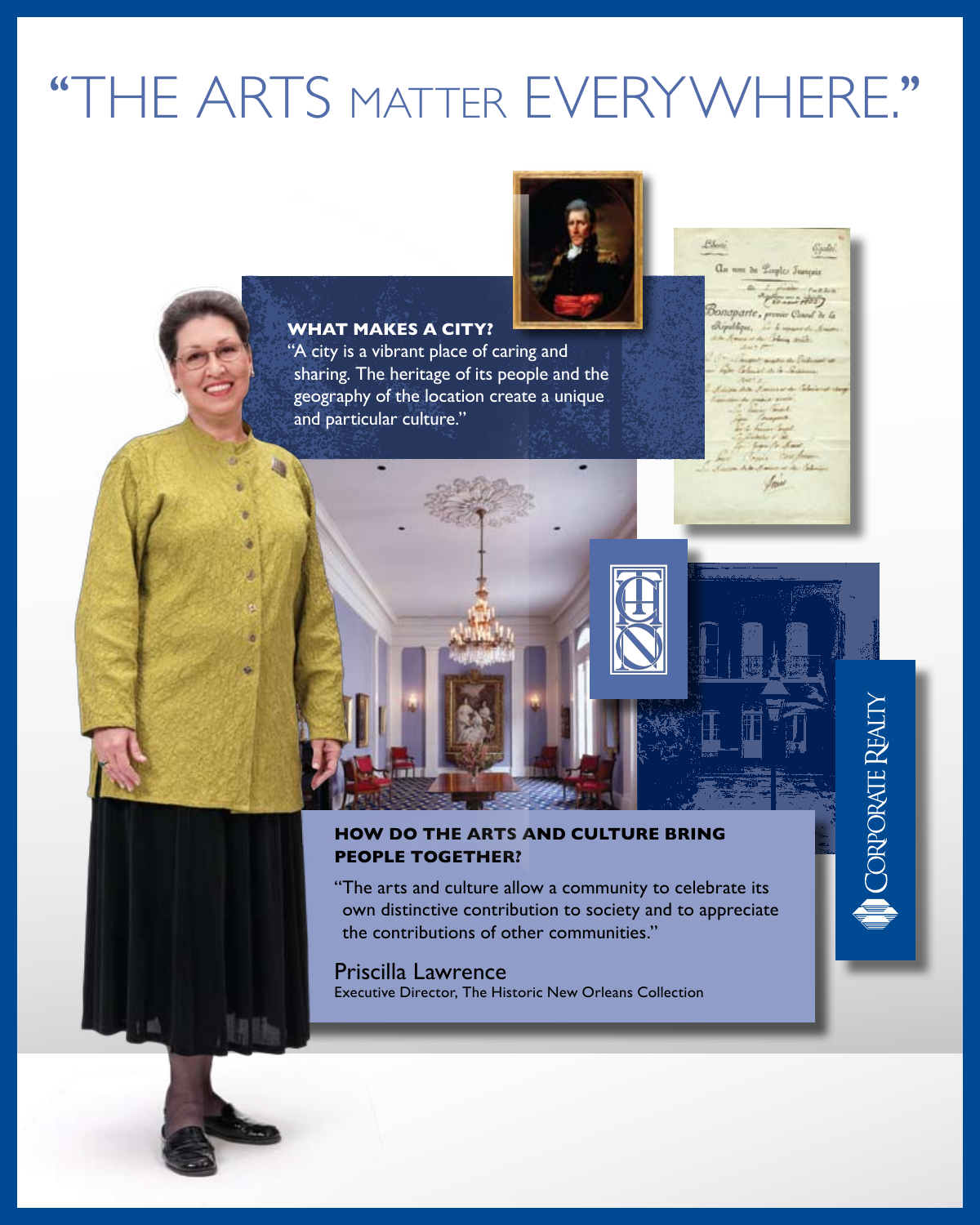# ''The arts matter Everywhere.''

# **What makes a city?**

"A city is a vibrant place of caring and sharing. The heritage of its people and the geography of the location create a unique and particular culture."

 $R_{\text{obs}}$  $\alpha$ er de Lorphe Trançais

# **CORPORATE REALTY**



## **How do the arts and culture bring people together?**

"The arts and culture allow a community to celebrate its own distinctive contribution to society and to appreciate the contributions of other communities."

Priscilla Lawrence Executive Director, The Historic New Orleans Collection